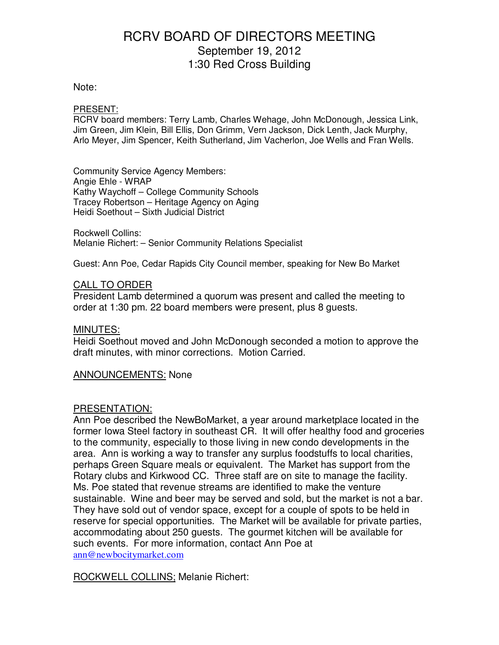#### Note:

#### PRESENT:

RCRV board members: Terry Lamb, Charles Wehage, John McDonough, Jessica Link, Jim Green, Jim Klein, Bill Ellis, Don Grimm, Vern Jackson, Dick Lenth, Jack Murphy, Arlo Meyer, Jim Spencer, Keith Sutherland, Jim Vacherlon, Joe Wells and Fran Wells.

Community Service Agency Members: Angie Ehle - WRAP Kathy Waychoff – College Community Schools Tracey Robertson – Heritage Agency on Aging Heidi Soethout – Sixth Judicial District

Rockwell Collins: Melanie Richert: – Senior Community Relations Specialist

Guest: Ann Poe, Cedar Rapids City Council member, speaking for New Bo Market

#### CALL TO ORDER

President Lamb determined a quorum was present and called the meeting to order at 1:30 pm. 22 board members were present, plus 8 guests.

#### MINUTES:

Heidi Soethout moved and John McDonough seconded a motion to approve the draft minutes, with minor corrections. Motion Carried.

ANNOUNCEMENTS: None

#### PRESENTATION:

Ann Poe described the NewBoMarket, a year around marketplace located in the former Iowa Steel factory in southeast CR. It will offer healthy food and groceries to the community, especially to those living in new condo developments in the area. Ann is working a way to transfer any surplus foodstuffs to local charities, perhaps Green Square meals or equivalent. The Market has support from the Rotary clubs and Kirkwood CC. Three staff are on site to manage the facility. Ms. Poe stated that revenue streams are identified to make the venture sustainable. Wine and beer may be served and sold, but the market is not a bar. They have sold out of vendor space, except for a couple of spots to be held in reserve for special opportunities. The Market will be available for private parties, accommodating about 250 guests. The gourmet kitchen will be available for such events. For more information, contact Ann Poe at ann@newbocitymarket.com

ROCKWELL COLLINS; Melanie Richert: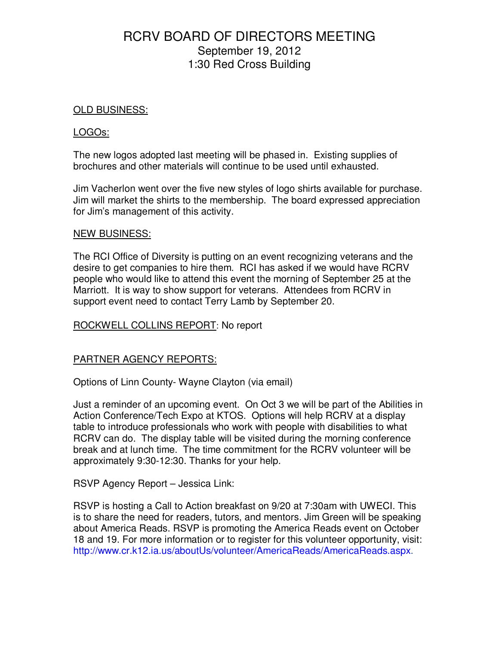### OLD BUSINESS:

### LOGOs:

The new logos adopted last meeting will be phased in. Existing supplies of brochures and other materials will continue to be used until exhausted.

Jim Vacherlon went over the five new styles of logo shirts available for purchase. Jim will market the shirts to the membership. The board expressed appreciation for Jim's management of this activity.

#### NEW BUSINESS:

The RCI Office of Diversity is putting on an event recognizing veterans and the desire to get companies to hire them. RCI has asked if we would have RCRV people who would like to attend this event the morning of September 25 at the Marriott. It is way to show support for veterans. Attendees from RCRV in support event need to contact Terry Lamb by September 20.

### ROCKWELL COLLINS REPORT: No report

### PARTNER AGENCY REPORTS:

Options of Linn County- Wayne Clayton (via email)

Just a reminder of an upcoming event. On Oct 3 we will be part of the Abilities in Action Conference/Tech Expo at KTOS. Options will help RCRV at a display table to introduce professionals who work with people with disabilities to what RCRV can do. The display table will be visited during the morning conference break and at lunch time. The time commitment for the RCRV volunteer will be approximately 9:30-12:30. Thanks for your help.

### RSVP Agency Report – Jessica Link:

RSVP is hosting a Call to Action breakfast on 9/20 at 7:30am with UWECI. This is to share the need for readers, tutors, and mentors. Jim Green will be speaking about America Reads. RSVP is promoting the America Reads event on October 18 and 19. For more information or to register for this volunteer opportunity, visit: http://www.cr.k12.ia.us/aboutUs/volunteer/AmericaReads/AmericaReads.aspx.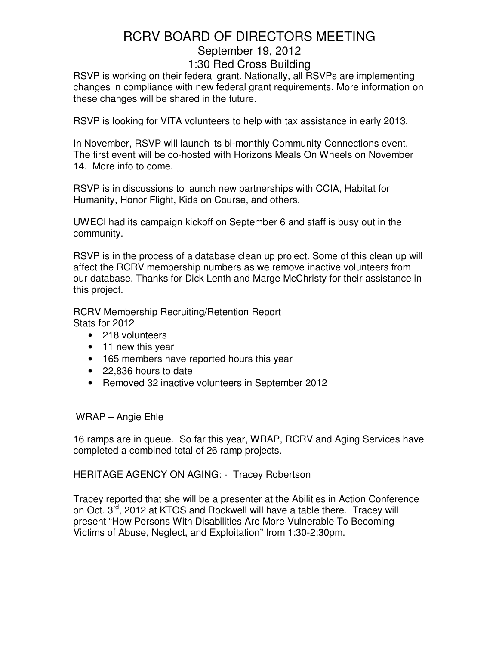RSVP is working on their federal grant. Nationally, all RSVPs are implementing changes in compliance with new federal grant requirements. More information on these changes will be shared in the future.

RSVP is looking for VITA volunteers to help with tax assistance in early 2013.

In November, RSVP will launch its bi-monthly Community Connections event. The first event will be co-hosted with Horizons Meals On Wheels on November 14. More info to come.

RSVP is in discussions to launch new partnerships with CCIA, Habitat for Humanity, Honor Flight, Kids on Course, and others.

UWECI had its campaign kickoff on September 6 and staff is busy out in the community.

RSVP is in the process of a database clean up project. Some of this clean up will affect the RCRV membership numbers as we remove inactive volunteers from our database. Thanks for Dick Lenth and Marge McChristy for their assistance in this project.

RCRV Membership Recruiting/Retention Report Stats for 2012

- 218 volunteers
- 11 new this year
- 165 members have reported hours this year
- 22,836 hours to date
- Removed 32 inactive volunteers in September 2012

WRAP – Angie Ehle

16 ramps are in queue. So far this year, WRAP, RCRV and Aging Services have completed a combined total of 26 ramp projects.

HERITAGE AGENCY ON AGING: - Tracey Robertson

Tracey reported that she will be a presenter at the Abilities in Action Conference on Oct. 3<sup>rd</sup>, 2012 at KTOS and Rockwell will have a table there. Tracey will present "How Persons With Disabilities Are More Vulnerable To Becoming Victims of Abuse, Neglect, and Exploitation" from 1:30-2:30pm.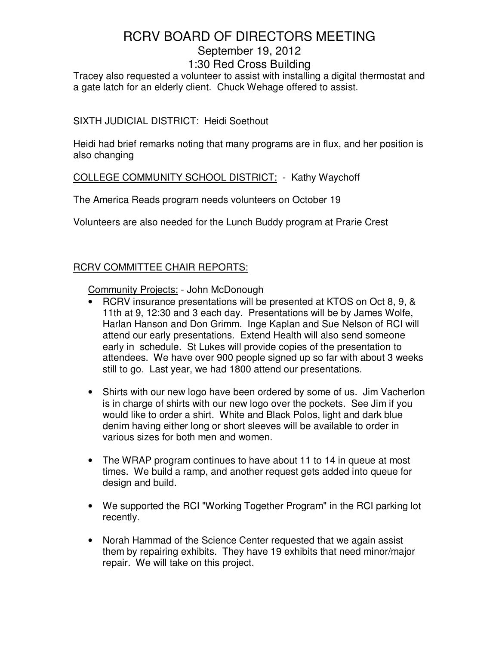# RCRV BOARD OF DIRECTORS MEETING September 19, 2012

## 1:30 Red Cross Building

Tracey also requested a volunteer to assist with installing a digital thermostat and a gate latch for an elderly client. Chuck Wehage offered to assist.

### SIXTH JUDICIAL DISTRICT: Heidi Soethout

Heidi had brief remarks noting that many programs are in flux, and her position is also changing

### COLLEGE COMMUNITY SCHOOL DISTRICT: - Kathy Waychoff

The America Reads program needs volunteers on October 19

Volunteers are also needed for the Lunch Buddy program at Prarie Crest

### RCRV COMMITTEE CHAIR REPORTS:

Community Projects: - John McDonough

- RCRV insurance presentations will be presented at KTOS on Oct 8, 9, & 11th at 9, 12:30 and 3 each day. Presentations will be by James Wolfe, Harlan Hanson and Don Grimm. Inge Kaplan and Sue Nelson of RCI will attend our early presentations. Extend Health will also send someone early in schedule. St Lukes will provide copies of the presentation to attendees. We have over 900 people signed up so far with about 3 weeks still to go. Last year, we had 1800 attend our presentations.
- Shirts with our new logo have been ordered by some of us. Jim Vacherlon is in charge of shirts with our new logo over the pockets. See Jim if you would like to order a shirt. White and Black Polos, light and dark blue denim having either long or short sleeves will be available to order in various sizes for both men and women.
- The WRAP program continues to have about 11 to 14 in queue at most times. We build a ramp, and another request gets added into queue for design and build.
- We supported the RCI "Working Together Program" in the RCI parking lot recently.
- Norah Hammad of the Science Center requested that we again assist them by repairing exhibits. They have 19 exhibits that need minor/major repair. We will take on this project.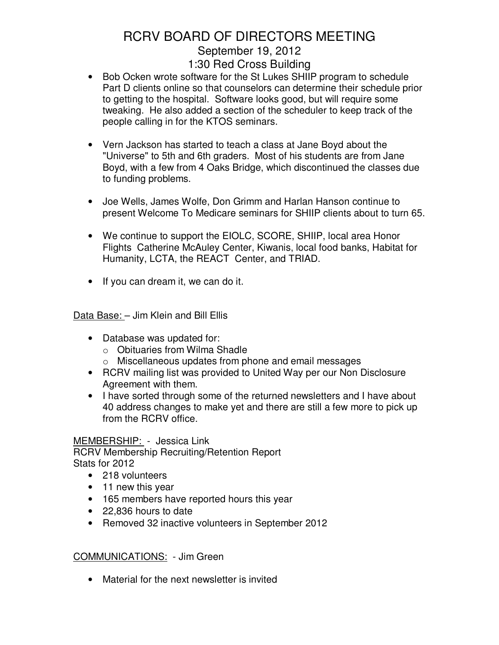- Bob Ocken wrote software for the St Lukes SHIIP program to schedule Part D clients online so that counselors can determine their schedule prior to getting to the hospital. Software looks good, but will require some tweaking. He also added a section of the scheduler to keep track of the people calling in for the KTOS seminars.
- Vern Jackson has started to teach a class at Jane Boyd about the "Universe" to 5th and 6th graders. Most of his students are from Jane Boyd, with a few from 4 Oaks Bridge, which discontinued the classes due to funding problems.
- Joe Wells, James Wolfe, Don Grimm and Harlan Hanson continue to present Welcome To Medicare seminars for SHIIP clients about to turn 65.
- We continue to support the EIOLC, SCORE, SHIIP, local area Honor Flights Catherine McAuley Center, Kiwanis, local food banks, Habitat for Humanity, LCTA, the REACT Center, and TRIAD.
- If you can dream it, we can do it.

Data Base: – Jim Klein and Bill Ellis

- Database was updated for:
	- o Obituaries from Wilma Shadle
	- o Miscellaneous updates from phone and email messages
- RCRV mailing list was provided to United Way per our Non Disclosure Agreement with them.
- I have sorted through some of the returned newsletters and I have about 40 address changes to make yet and there are still a few more to pick up from the RCRV office.

## MEMBERSHIP: - Jessica Link

RCRV Membership Recruiting/Retention Report Stats for 2012

- 218 volunteers
- 11 new this year
- 165 members have reported hours this year
- 22,836 hours to date
- Removed 32 inactive volunteers in September 2012

## COMMUNICATIONS: - Jim Green

• Material for the next newsletter is invited